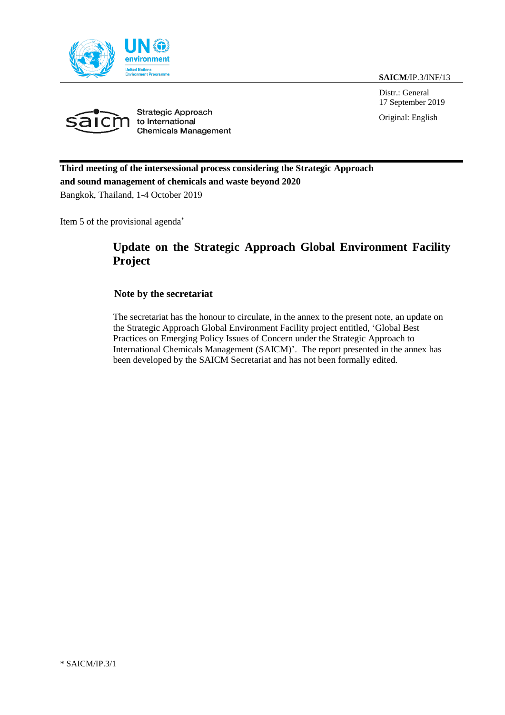**SAICM**/IP.3/INF/13

Distr.: General 17 September 2019

Original: English





**Third meeting of the intersessional process considering the Strategic Approach and sound management of chemicals and waste beyond 2020** Bangkok, Thailand, 1-4 October 2019

Item 5 of the provisional agenda\*

## **Update on the Strategic Approach Global Environment Facility Project**

### **Note by the secretariat**

The secretariat has the honour to circulate, in the annex to the present note, an update on the Strategic Approach Global Environment Facility project entitled, 'Global Best Practices on Emerging Policy Issues of Concern under the Strategic Approach to International Chemicals Management (SAICM)'. The report presented in the annex has been developed by the SAICM Secretariat and has not been formally edited.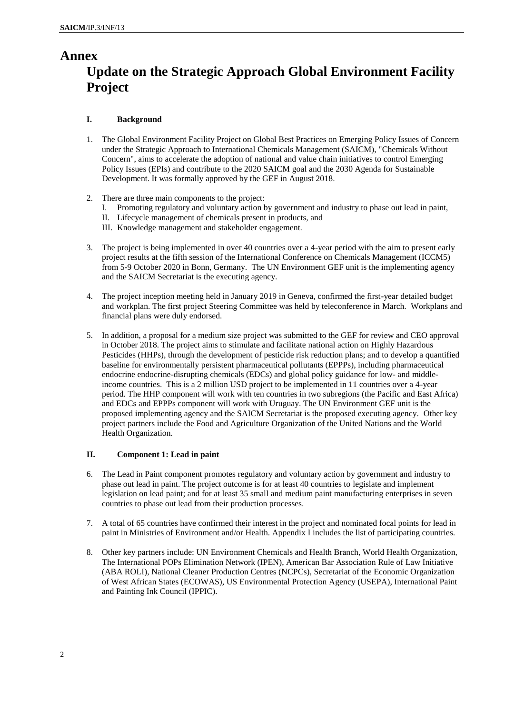## **Annex Update on the Strategic Approach Global Environment Facility Project**

#### **I. Background**

- 1. The Global Environment Facility Project on Global Best Practices on Emerging Policy Issues of Concern under the Strategic Approach to International Chemicals Management (SAICM), "Chemicals Without Concern", aims to accelerate the adoption of national and value chain initiatives to control Emerging Policy Issues (EPIs) and contribute to the 2020 SAICM goal and the 2030 Agenda for Sustainable Development. It was formally approved by the GEF in August 2018.
- 2. There are three main components to the project:
	- I. Promoting regulatory and voluntary action by government and industry to phase out lead in paint,
	- II. Lifecycle management of chemicals present in products, and
	- III. Knowledge management and stakeholder engagement.
- 3. The project is being implemented in over 40 countries over a 4-year period with the aim to present early project results at the fifth session of the International Conference on Chemicals Management (ICCM5) from 5-9 October 2020 in Bonn, Germany. The UN Environment GEF unit is the implementing agency and the SAICM Secretariat is the executing agency.
- 4. The project inception meeting held in January 2019 in Geneva, confirmed the first-year detailed budget and workplan. The first project Steering Committee was held by teleconference in March. Workplans and financial plans were duly endorsed.
- 5. In addition, a proposal for a medium size project was submitted to the GEF for review and CEO approval in October 2018. The project aims to stimulate and facilitate national action on Highly Hazardous Pesticides (HHPs), through the development of pesticide risk reduction plans; and to develop a quantified baseline for environmentally persistent pharmaceutical pollutants (EPPPs), including pharmaceutical endocrine endocrine-disrupting chemicals (EDCs) and global policy guidance for low- and middleincome countries. This is a 2 million USD project to be implemented in 11 countries over a 4-year period. The HHP component will work with ten countries in two subregions (the Pacific and East Africa) and EDCs and EPPPs component will work with Uruguay. The UN Environment GEF unit is the proposed implementing agency and the SAICM Secretariat is the proposed executing agency. Other key project partners include the Food and Agriculture Organization of the United Nations and the World Health Organization.

#### **II. Component 1: Lead in paint**

- 6. The Lead in Paint component promotes regulatory and voluntary action by government and industry to phase out lead in paint. The project outcome is for at least 40 countries to legislate and implement legislation on lead paint; and for at least 35 small and medium paint manufacturing enterprises in seven countries to phase out lead from their production processes.
- 7. A total of 65 countries have confirmed their interest in the project and nominated focal points for lead in paint in Ministries of Environment and/or Health. Appendix I includes the list of participating countries.
- 8. Other key partners include: UN Environment Chemicals and Health Branch, World Health Organization, The International POPs Elimination Network (IPEN), American Bar Association Rule of Law Initiative (ABA ROLI), National Cleaner Production Centres (NCPCs), Secretariat of the Economic Organization of West African States (ECOWAS), US Environmental Protection Agency (USEPA), International Paint and Painting Ink Council (IPPIC).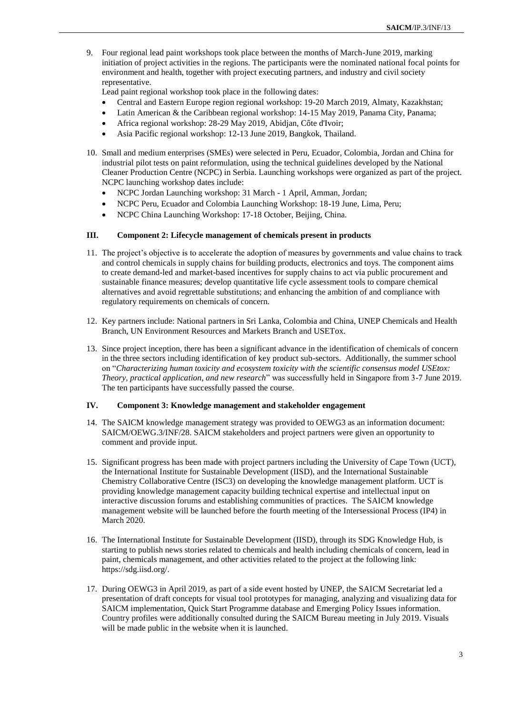9. Four regional lead paint workshops took place between the months of March-June 2019, marking initiation of project activities in the regions. The participants were the nominated national focal points for environment and health, together with project executing partners, and industry and civil society representative.

Lead paint regional workshop took place in the following dates:

- Central and Eastern Europe region regional workshop: 19-20 March 2019, Almaty, Kazakhstan;
- Latin American & the Caribbean regional workshop: 14-15 May 2019, Panama City, Panama;
- Africa regional workshop: 28-29 May 2019, Abidjan, Côte d'Ivoir;
- Asia Pacific regional workshop: 12-13 June 2019, Bangkok, Thailand.
- 10. Small and medium enterprises (SMEs) were selected in Peru, Ecuador, Colombia, Jordan and China for industrial pilot tests on paint reformulation, using the technical guidelines developed by the National Cleaner Production Centre (NCPC) in Serbia. Launching workshops were organized as part of the project. NCPC launching workshop dates include:
	- NCPC Jordan Launching workshop: 31 March 1 April, Amman, Jordan;
	- NCPC Peru, Ecuador and Colombia Launching Workshop: 18-19 June, Lima, Peru;
	- NCPC China Launching Workshop: 17-18 October, Beijing, China.

#### **III. Component 2: Lifecycle management of chemicals present in products**

- 11. The project's objective is to accelerate the adoption of measures by governments and value chains to track and control chemicals in supply chains for building products, electronics and toys. The component aims to create demand-led and market-based incentives for supply chains to act via public procurement and sustainable finance measures; develop quantitative life cycle assessment tools to compare chemical alternatives and avoid regrettable substitutions; and enhancing the ambition of and compliance with regulatory requirements on chemicals of concern.
- 12. Key partners include: National partners in Sri Lanka, Colombia and China, UNEP Chemicals and Health Branch, UN Environment Resources and Markets Branch and USETox.
- 13. Since project inception, there has been a significant advance in the identification of chemicals of concern in the three sectors including identification of key product sub-sectors. Additionally, the summer school on "*Characterizing human toxicity and ecosystem toxicity with the scientific consensus model USEtox: Theory, practical application, and new research*" was successfully held in Singapore from 3-7 June 2019. The ten participants have successfully passed the course.

#### **IV. Component 3: Knowledge management and stakeholder engagement**

- 14. The SAICM knowledge management strategy was provided to OEWG3 as an information document: SAICM/OEWG.3/INF/28. SAICM stakeholders and project partners were given an opportunity to comment and provide input.
- 15. Significant progress has been made with project partners including the University of Cape Town (UCT), the International Institute for Sustainable Development (IISD), and the International Sustainable Chemistry Collaborative Centre (ISC3) on developing the knowledge management platform. UCT is providing knowledge management capacity building technical expertise and intellectual input on interactive discussion forums and establishing communities of practices. The SAICM knowledge management website will be launched before the fourth meeting of the Intersessional Process (IP4) in March 2020.
- 16. The International Institute for Sustainable Development (IISD), through its SDG Knowledge Hub, is starting to publish news stories related to chemicals and health including chemicals of concern, lead in paint, chemicals management, and other activities related to the project at the following link: [https://sdg.iisd.org/.](https://sdg.iisd.org/)
- 17. During OEWG3 in April 2019, as part of a side event hosted by UNEP, the SAICM Secretariat led a presentation of draft concepts for visual tool prototypes for managing, analyzing and visualizing data for SAICM implementation, Quick Start Programme database and Emerging Policy Issues information. Country profiles were additionally consulted during the SAICM Bureau meeting in July 2019. Visuals will be made public in the website when it is launched.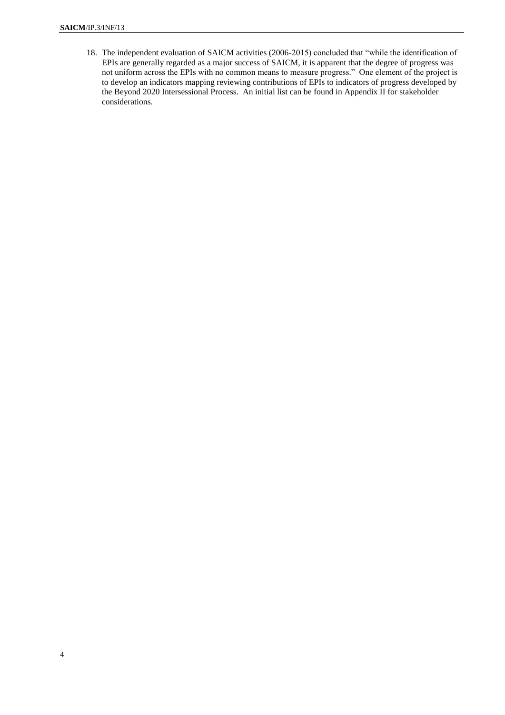18. The independent evaluation of SAICM activities (2006-2015) concluded that "while the identification of EPIs are generally regarded as a major success of SAICM, it is apparent that the degree of progress was not uniform across the EPIs with no common means to measure progress." One element of the project is to develop an indicators mapping reviewing contributions of EPIs to indicators of progress developed by the Beyond 2020 Intersessional Process. An initial list can be found in Appendix II for stakeholder considerations.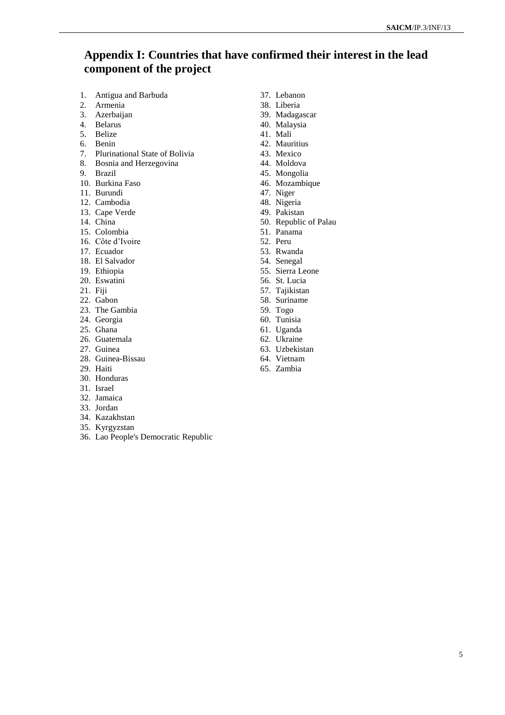### **Appendix I: Countries that have confirmed their interest in the lead component of the project**

- 1. Antigua and Barbuda
- 2. Armenia
- 3. Azerbaijan
- 4. Belarus
- 5. Belize
- 6. Benin
- 7. Plurinational State of Bolivia
- 8. Bosnia and Herzegovina
- 9. Brazil
- 10. Burkina Faso
- 11. Burundi
- 12. Cambodia
- 13. Cape Verde
- 14. China
- 15. Colombia
- 16. Côte d'Ivoire
- 17. Ecuador
- 18. El Salvador
- 19. Ethiopia
- 20. Eswatini
- 21. Fiji
- 22. Gabon
- 23. The Gambia
- 24. Georgia
- 25. Ghana
- 26. Guatemala
- 27. Guinea
- 28. Guinea-Bissau
- 29. Haiti
- 30. Honduras
- 31. Israel
- 32. Jamaica
- 33. Jordan
- 34. Kazakhstan
- 35. Kyrgyzstan
- 36. Lao People's Democratic Republic
- 37. Lebanon
- 38. Liberia
- 39. Madagascar
- 40. Malaysia
- 41. Mali
- 42. Mauritius 43. Mexico
- 44. Moldova
- 45. Mongolia
- 46. Mozambique
- 
- 47. Niger
- 48. Nigeria 49. Pakistan
- 50. Republic of Palau
- 51. Panama
- 52. Peru
- 53. Rwanda
- 54. Senegal
- 55. Sierra Leone
- 56. St. Lucia
- 57. Tajikistan
- 58. Suriname
- 59. Togo
- 60. Tunisia
- 61. Uganda
- 62. Ukraine
- 63. Uzbekistan
- 64. Vietnam
- 65. Zambia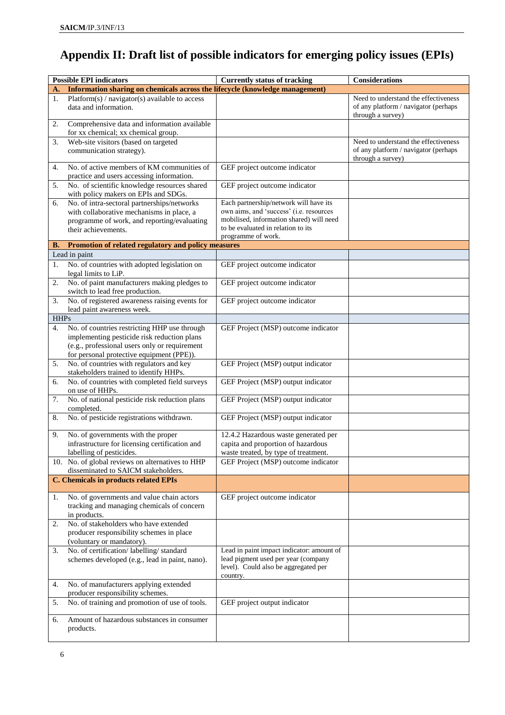# **Appendix II: Draft list of possible indicators for emerging policy issues (EPIs)**

|             | <b>Possible EPI indicators</b>                                                                                                                                                            | <b>Currently status of tracking</b>                                                                                                             | Considerations                                                                                    |
|-------------|-------------------------------------------------------------------------------------------------------------------------------------------------------------------------------------------|-------------------------------------------------------------------------------------------------------------------------------------------------|---------------------------------------------------------------------------------------------------|
| A.          | Information sharing on chemicals across the lifecycle (knowledge management)                                                                                                              |                                                                                                                                                 |                                                                                                   |
| 1.          | Platform(s) / navigator(s) available to access<br>data and information.                                                                                                                   |                                                                                                                                                 | Need to understand the effectiveness<br>of any platform / navigator (perhaps<br>through a survey) |
| 2.          | Comprehensive data and information available<br>for xx chemical; xx chemical group.                                                                                                       |                                                                                                                                                 |                                                                                                   |
| 3.          | Web-site visitors (based on targeted<br>communication strategy).                                                                                                                          |                                                                                                                                                 | Need to understand the effectiveness<br>of any platform / navigator (perhaps<br>through a survey) |
| 4.          | No. of active members of KM communities of<br>practice and users accessing information.                                                                                                   | GEF project outcome indicator                                                                                                                   |                                                                                                   |
| 5.          | No. of scientific knowledge resources shared<br>with policy makers on EPIs and SDGs.                                                                                                      | GEF project outcome indicator                                                                                                                   |                                                                                                   |
| 6.          | No. of intra-sectoral partnerships/networks                                                                                                                                               | Each partnership/network will have its                                                                                                          |                                                                                                   |
|             | with collaborative mechanisms in place, a<br>programme of work, and reporting/evaluating<br>their achievements.                                                                           | own aims, and 'success' (i.e. resources<br>mobilised, information shared) will need<br>to be evaluated in relation to its<br>programme of work. |                                                                                                   |
| В.          | Promotion of related regulatory and policy measures                                                                                                                                       |                                                                                                                                                 |                                                                                                   |
|             | Lead in paint                                                                                                                                                                             |                                                                                                                                                 |                                                                                                   |
| 1.          | No. of countries with adopted legislation on<br>legal limits to LiP.                                                                                                                      | GEF project outcome indicator                                                                                                                   |                                                                                                   |
| 2.          | No. of paint manufacturers making pledges to<br>switch to lead free production.                                                                                                           | GEF project outcome indicator                                                                                                                   |                                                                                                   |
| 3.          | No. of registered awareness raising events for<br>lead paint awareness week.                                                                                                              | GEF project outcome indicator                                                                                                                   |                                                                                                   |
| <b>HHPs</b> |                                                                                                                                                                                           |                                                                                                                                                 |                                                                                                   |
| 4.          | No. of countries restricting HHP use through<br>implementing pesticide risk reduction plans<br>(e.g., professional users only or requirement<br>for personal protective equipment (PPE)). | GEF Project (MSP) outcome indicator                                                                                                             |                                                                                                   |
| 5.          | No. of countries with regulators and key<br>stakeholders trained to identify HHPs.                                                                                                        | GEF Project (MSP) output indicator                                                                                                              |                                                                                                   |
| 6.          | No. of countries with completed field surveys<br>on use of HHPs.                                                                                                                          | GEF Project (MSP) output indicator                                                                                                              |                                                                                                   |
| 7.          | No. of national pesticide risk reduction plans<br>completed.                                                                                                                              | GEF Project (MSP) output indicator                                                                                                              |                                                                                                   |
| 8.          | No. of pesticide registrations withdrawn.                                                                                                                                                 | GEF Project (MSP) output indicator                                                                                                              |                                                                                                   |
| 9.          | No. of governments with the proper                                                                                                                                                        | 12.4.2 Hazardous waste generated per                                                                                                            |                                                                                                   |
|             | infrastructure for licensing certification and                                                                                                                                            | capita and proportion of hazardous                                                                                                              |                                                                                                   |
|             | labelling of pesticides.<br>10. No. of global reviews on alternatives to HHP<br>disseminated to SAICM stakeholders.                                                                       | waste treated, by type of treatment.<br>GEF Project (MSP) outcome indicator                                                                     |                                                                                                   |
|             | <b>C. Chemicals in products related EPIs</b>                                                                                                                                              |                                                                                                                                                 |                                                                                                   |
|             |                                                                                                                                                                                           |                                                                                                                                                 |                                                                                                   |
| 1.          | No. of governments and value chain actors<br>tracking and managing chemicals of concern<br>in products.                                                                                   | GEF project outcome indicator                                                                                                                   |                                                                                                   |
| 2.          | No. of stakeholders who have extended<br>producer responsibility schemes in place<br>(voluntary or mandatory).                                                                            |                                                                                                                                                 |                                                                                                   |
| 3.          | No. of certification/labelling/standard<br>schemes developed (e.g., lead in paint, nano).                                                                                                 | Lead in paint impact indicator: amount of<br>lead pigment used per year (company<br>level). Could also be aggregated per<br>country.            |                                                                                                   |
| 4.          | No. of manufacturers applying extended<br>producer responsibility schemes.                                                                                                                |                                                                                                                                                 |                                                                                                   |
| 5.          | No. of training and promotion of use of tools.                                                                                                                                            | GEF project output indicator                                                                                                                    |                                                                                                   |
| 6.          | Amount of hazardous substances in consumer<br>products.                                                                                                                                   |                                                                                                                                                 |                                                                                                   |